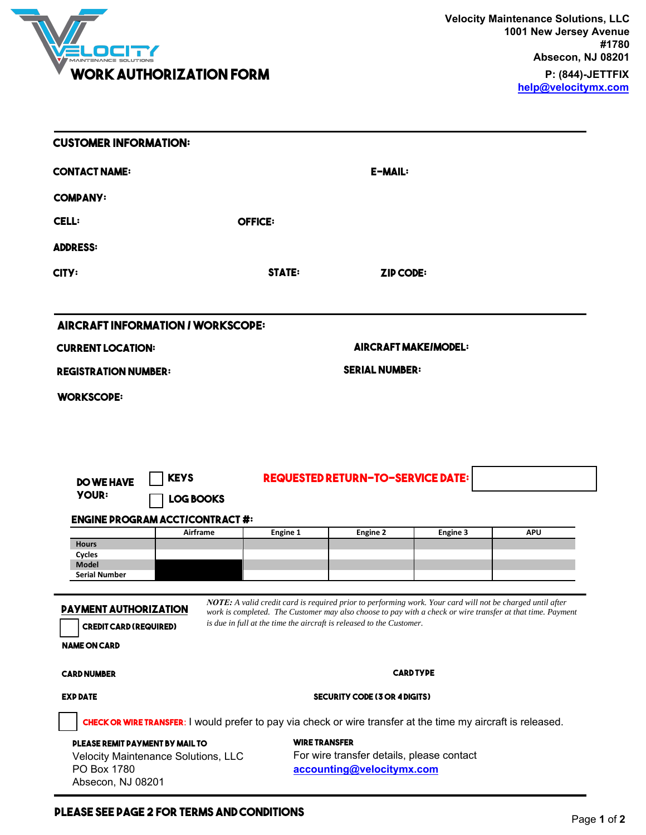

| <b>CUSTOMER INFORMATION:</b>                                                         |                                 |                                                                                                                                                                                                                                                                                                 |                                          |          |            |  |
|--------------------------------------------------------------------------------------|---------------------------------|-------------------------------------------------------------------------------------------------------------------------------------------------------------------------------------------------------------------------------------------------------------------------------------------------|------------------------------------------|----------|------------|--|
| CONTACT NAME:                                                                        |                                 | E-MAIL:                                                                                                                                                                                                                                                                                         |                                          |          |            |  |
| <b>COMPANY:</b>                                                                      |                                 |                                                                                                                                                                                                                                                                                                 |                                          |          |            |  |
| <b>CELL:</b>                                                                         |                                 | <b>OFFICE:</b>                                                                                                                                                                                                                                                                                  |                                          |          |            |  |
| ADDRESS:                                                                             |                                 |                                                                                                                                                                                                                                                                                                 |                                          |          |            |  |
| CITY:                                                                                |                                 | <b>STATE:</b>                                                                                                                                                                                                                                                                                   | <b>ZIP CODE:</b>                         |          |            |  |
| <b>AIRCRAFT INFORMATION / WORKSCOPE:</b>                                             |                                 |                                                                                                                                                                                                                                                                                                 |                                          |          |            |  |
| <b>CURRENT LOCATION:</b>                                                             |                                 | <b>AIRCRAFT MAKEIMODEL:</b>                                                                                                                                                                                                                                                                     |                                          |          |            |  |
| <b>REGISTRATION NUMBER:</b>                                                          |                                 | <b>SERIAL NUMBER:</b>                                                                                                                                                                                                                                                                           |                                          |          |            |  |
|                                                                                      |                                 |                                                                                                                                                                                                                                                                                                 |                                          |          |            |  |
| <b>DO WE HAVE</b><br><b>YOUR:</b>                                                    | <b>KEYS</b><br><b>LOG BOOKS</b> |                                                                                                                                                                                                                                                                                                 | <b>REQUESTED RETURN-TO-SERVICE DATE:</b> |          |            |  |
| <b>ENGINE PROGRAM ACCTICONTRACT #:</b>                                               | Airframe                        | <b>Engine 1</b>                                                                                                                                                                                                                                                                                 | Engine 2                                 | Engine 3 | <b>APU</b> |  |
| <b>Hours</b><br>Cycles                                                               |                                 |                                                                                                                                                                                                                                                                                                 |                                          |          |            |  |
| Model<br><b>Serial Number</b>                                                        |                                 |                                                                                                                                                                                                                                                                                                 |                                          |          |            |  |
| <b>PAYMENT AUTHORIZATION</b><br><b>CREDIT CARD (REQUIRED)</b><br><b>NAME ON CARD</b> |                                 | NOTE: A valid credit card is required prior to performing work. Your card will not be charged until after<br>work is completed. The Customer may also choose to pay with a check or wire transfer at that time. Payment<br>is due in full at the time the aircraft is released to the Customer. |                                          |          |            |  |
|                                                                                      |                                 | <b>CARD TYPE</b>                                                                                                                                                                                                                                                                                |                                          |          |            |  |
|                                                                                      |                                 |                                                                                                                                                                                                                                                                                                 |                                          |          |            |  |
|                                                                                      |                                 |                                                                                                                                                                                                                                                                                                 | <b>SECURITY CODE (3 OR 4 DIGITS)</b>     |          |            |  |
| <b>CARD NUMBER</b><br><b>EXP DATE</b>                                                |                                 | <b>CHECK OR WIRE TRANSFER:</b> I would prefer to pay via check or wire transfer at the time my aircraft is released.                                                                                                                                                                            |                                          |          |            |  |

## **PLEASE SEE PAGE 2 FOR TERMS AND CONDITIONS Page 1** of **2**